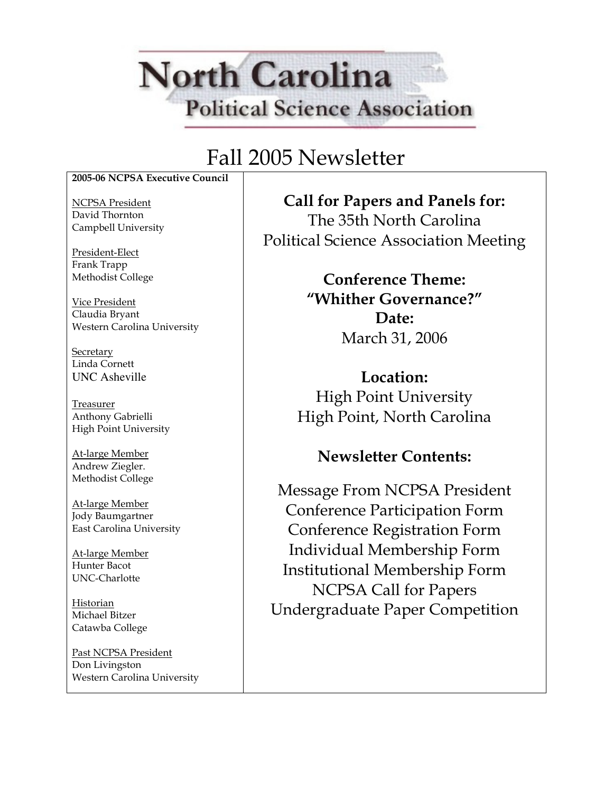# **North Carolina Political Science Association**

### Fall 2005 Newsletter

2005-06 NCPSA Executive Council

NCPSA President David Thornton Campbell University

President-Elect Frank Trapp Methodist College

Vice President Claudia Bryant Western Carolina University

**Secretary** Linda Cornett UNC Asheville

Treasurer Anthony Gabrielli High Point University

At-large Member Andrew Ziegler. Methodist College

At-large Member Jody Baumgartner East Carolina University

At-large Member Hunter Bacot UNC-Charlotte

Historian Michael Bitzer Catawba College

Past NCPSA President Don Livingston Western Carolina University

Call for Papers and Panels for: The 35th North Carolina Political Science Association Meeting

> Conference Theme: "Whither Governance?" Date: March 31, 2006

Location: High Point University High Point, North Carolina

### Newsletter Contents:

Message From NCPSA President Conference Participation Form Conference Registration Form Individual Membership Form Institutional Membership Form NCPSA Call for Papers Undergraduate Paper Competition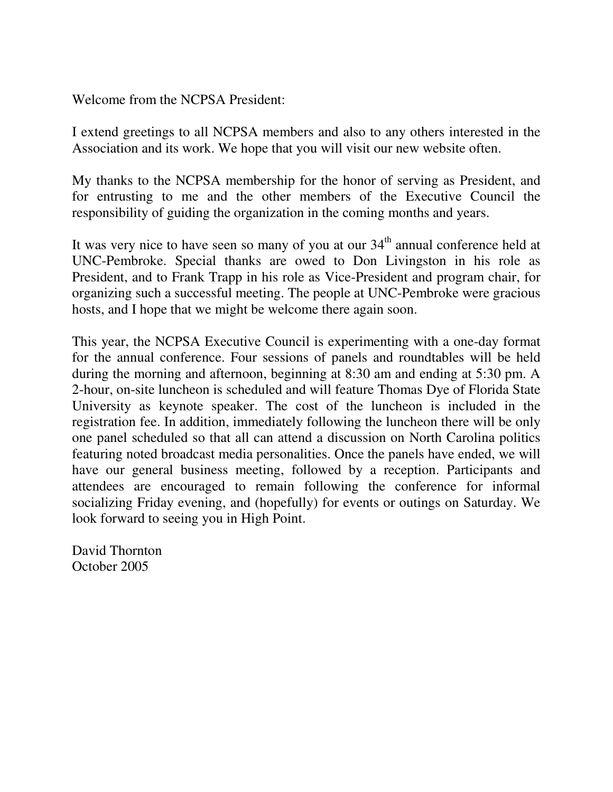Welcome from the NCPSA President:

I extend greetings to all NCPSA members and also to any others interested in the Association and its work. We hope that you will visit our new website often.

My thanks to the NCPSA membership for the honor of serving as President, and for entrusting to me and the other members of the Executive Council the responsibility of guiding the organization in the coming months and years.

It was very nice to have seen so many of you at our  $34<sup>th</sup>$  annual conference held at UNC-Pembroke. Special thanks are owed to Don Livingston in his role as President, and to Frank Trapp in his role as Vice-President and program chair, for organizing such a successful meeting. The people at UNC-Pembroke were gracious hosts, and I hope that we might be welcome there again soon.

This year, the NCPSA Executive Council is experimenting with a one-day format for the annual conference. Four sessions of panels and roundtables will be held during the morning and afternoon, beginning at 8:30 am and ending at 5:30 pm. A 2-hour, on-site luncheon is scheduled and will feature Thomas Dye of Florida State University as keynote speaker. The cost of the luncheon is included in the registration fee. In addition, immediately following the luncheon there will be only one panel scheduled so that all can attend a discussion on North Carolina politics featuring noted broadcast media personalities. Once the panels have ended, we will have our general business meeting, followed by a reception. Participants and attendees are encouraged to remain following the conference for informal socializing Friday evening, and (hopefully) for events or outings on Saturday. We look forward to seeing you in High Point.

David Thornton October 2005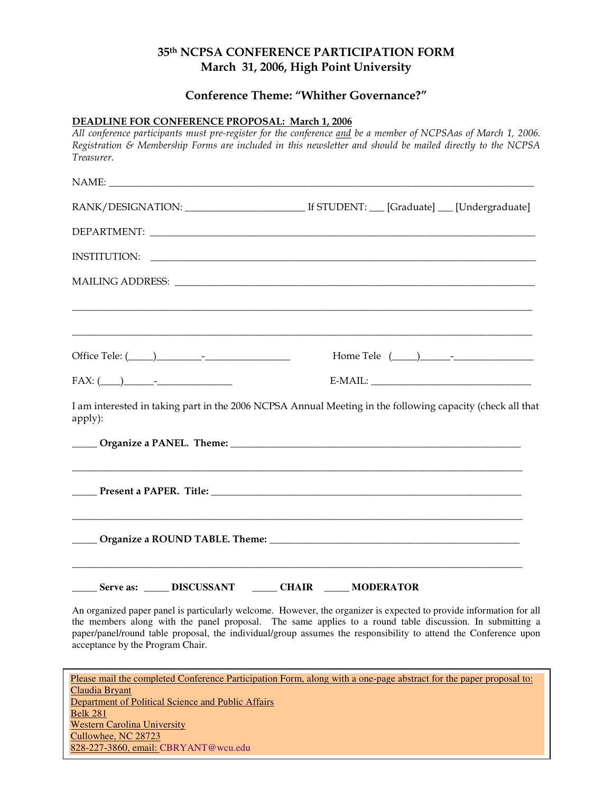#### 35th NCPSA CONFERENCE PARTICIPATION FORM March 31, 2006, High Point University

#### Conference Theme: "Whither Governance?"

#### DEADLINE FOR CONFERENCE PROPOSAL: March 1, 2006

All conference participants must pre-register for the conference and be a member of NCPSAas of March 1, 2006. Registration & Membership Forms are included in this newsletter and should be mailed directly to the NCPSA Treasurer.  $NAME:$ RANK/DESIGNATION: \_\_\_\_\_\_\_\_\_\_\_\_\_\_\_\_\_\_\_\_\_\_\_\_ If STUDENT: \_\_\_ [Graduate] \_\_\_ [Undergraduate] DEPARTMENT: \_\_\_\_\_\_\_\_\_\_\_\_\_\_\_\_\_\_\_\_\_\_\_\_\_\_\_\_\_\_\_\_\_\_\_\_\_\_\_\_\_\_\_\_\_\_\_\_\_\_\_\_\_\_\_\_\_\_\_\_\_\_\_\_\_\_\_\_\_\_\_\_\_\_\_\_\_ INSTITUTION: \_\_\_\_\_\_\_\_\_\_\_\_\_\_\_\_\_\_\_\_\_\_\_\_\_\_\_\_\_\_\_\_\_\_\_\_\_\_\_\_\_\_\_\_\_\_\_\_\_\_\_\_\_\_\_\_\_\_\_\_\_\_\_\_\_\_\_\_\_\_\_\_\_\_\_\_\_ MAILING ADDRESS:  $\Box$  . The contribution of the contribution of the contribution of the contribution of the contribution of the contribution of the contribution of the contribution of the contribution of the contribution of the contributi  $\overline{\phantom{a}}$  , and the contribution of the contribution of the contribution of the contribution of the contribution of the contribution of the contribution of the contribution of the contribution of the contribution of the Office Tele:  $(\_\_\_\_\_\_$ FAX: (\_\_\_\_)\_\_\_\_\_\_-\_\_\_\_\_\_\_\_\_\_\_\_\_\_\_ E-MAIL: \_\_\_\_\_\_\_\_\_\_\_\_\_\_\_\_\_\_\_\_\_\_\_\_\_\_\_\_\_\_\_\_ I am interested in taking part in the 2006 NCPSA Annual Meeting in the following capacity (check all that apply):  $O$  rganize a PANEL. Theme:  $\Box$ \_\_\_\_\_\_\_\_\_\_\_\_\_\_\_\_\_\_\_\_\_\_\_\_\_\_\_\_\_\_\_\_\_\_\_\_\_\_\_\_\_\_\_\_\_\_\_\_\_\_\_\_\_\_\_\_\_\_\_\_\_\_\_\_\_\_\_\_\_\_\_\_\_\_\_\_\_\_\_\_\_\_\_\_\_\_\_\_\_\_ Present a PAPER. Title:  $\blacksquare$ \_\_\_\_\_\_\_\_\_\_\_\_\_\_\_\_\_\_\_\_\_\_\_\_\_\_\_\_\_\_\_\_\_\_\_\_\_\_\_\_\_\_\_\_\_\_\_\_\_\_\_\_\_\_\_\_\_\_\_\_\_\_\_\_\_\_\_\_\_\_\_\_\_\_\_\_\_\_\_\_\_\_\_\_\_\_\_\_\_\_ \_\_\_\_\_ Organize a ROUND TABLE. Theme: \_\_\_\_\_\_\_\_\_\_\_\_\_\_\_\_\_\_\_\_\_\_\_\_\_\_\_\_\_\_\_\_\_\_\_\_\_\_\_\_\_\_\_\_\_\_\_\_\_\_ \_\_\_\_\_\_\_\_\_\_\_\_\_\_\_\_\_\_\_\_\_\_\_\_\_\_\_\_\_\_\_\_\_\_\_\_\_\_\_\_\_\_\_\_\_\_\_\_\_\_\_\_\_\_\_\_\_\_\_\_\_\_\_\_\_\_\_\_\_\_\_\_\_\_\_\_\_\_\_\_\_\_\_\_\_\_\_\_\_\_ **\_\_\_\_\_ Serve as: \_\_\_\_\_ DISCUSSANT \_\_\_\_\_ CHAIR \_\_\_\_\_ MODERATOR** 

An organized paper panel is particularly welcome. However, the organizer is expected to provide information for all the members along with the panel proposal. The same applies to a round table discussion. In submitting a paper/panel/round table proposal, the individual/group assumes the responsibility to attend the Conference upon acceptance by the Program Chair.

Please mail the completed Conference Participation Form, along with a one-page abstract for the paper proposal to: Claudia Bryant Department of Political Science and Public Affairs Belk 281 Western Carolina University Cullowhee, NC 28723 828-227-3860, email: CBRYANT@wcu.edu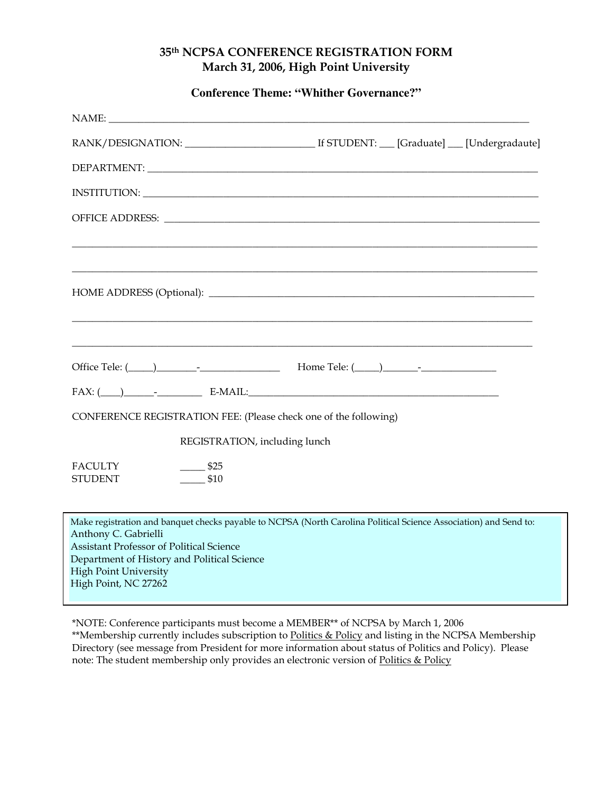#### 35th NCPSA CONFERENCE REGISTRATION FORM March 31, 2006, High Point University

**Conference Theme: "Whither Governance?"** 

| Office Tele: ( <u>Company - Company - Company - Company - Company - Company - Company - Company - Company - Company - Company - Company - Company - Company - Company - Company - Company - Company - Company - Company - Company</u> |  |  |
|---------------------------------------------------------------------------------------------------------------------------------------------------------------------------------------------------------------------------------------|--|--|
| $FAX: (\_\_) \_\_$ - $\_\_$ - $\_\_$ E-MAIL:                                                                                                                                                                                          |  |  |
| CONFERENCE REGISTRATION FEE: (Please check one of the following)                                                                                                                                                                      |  |  |
| REGISTRATION, including lunch                                                                                                                                                                                                         |  |  |
| <b>FACULTY</b><br>\$25                                                                                                                                                                                                                |  |  |
| \$10<br>STUDENT                                                                                                                                                                                                                       |  |  |
| Make registration and banquet checks payable to NCPSA (North Carolina Political Science Association) and Send to:                                                                                                                     |  |  |
| Anthony C. Gabrielli<br><b>Assistant Professor of Political Science</b>                                                                                                                                                               |  |  |
| Department of History and Political Science<br><b>High Point University</b>                                                                                                                                                           |  |  |
| High Point, NC 27262                                                                                                                                                                                                                  |  |  |

\*NOTE: Conference participants must become a MEMBER\*\* of NCPSA by March 1, 2006 \*\*Membership currently includes subscription to Politics & Policy and listing in the NCPSA Membership Directory (see message from President for more information about status of Politics and Policy). Please note: The student membership only provides an electronic version of Politics & Policy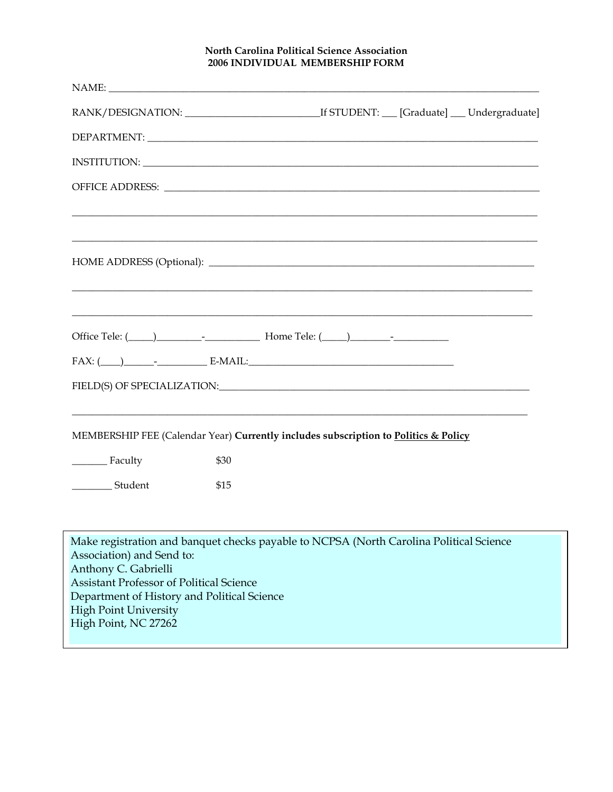#### North Carolina Political Science Association 2006 INDIVIDUAL MEMBERSHIP FORM

|                                                                         |      | Office Tele: ( <u>Califare 2001)</u> Letter    Letter    Letter    Letter    Letter    Letter    Letter    Letter    Letter    Letter    Letter    Letter    Letter    Letter    Letter    Letter    Letter    Letter    Letter |
|-------------------------------------------------------------------------|------|---------------------------------------------------------------------------------------------------------------------------------------------------------------------------------------------------------------------------------|
|                                                                         |      |                                                                                                                                                                                                                                 |
|                                                                         |      |                                                                                                                                                                                                                                 |
|                                                                         |      | MEMBERSHIP FEE (Calendar Year) Currently includes subscription to Politics & Policy                                                                                                                                             |
| Faculty                                                                 | \$30 |                                                                                                                                                                                                                                 |
| ____________ Student                                                    | \$15 |                                                                                                                                                                                                                                 |
|                                                                         |      |                                                                                                                                                                                                                                 |
| Association) and Send to:                                               |      | Make registration and banquet checks payable to NCPSA (North Carolina Political Science                                                                                                                                         |
| Anthony C. Gabrielli<br><b>Assistant Professor of Political Science</b> |      |                                                                                                                                                                                                                                 |
| Department of History and Political Science                             |      |                                                                                                                                                                                                                                 |
| <b>High Point University</b><br>High Point, NC 27262                    |      |                                                                                                                                                                                                                                 |
|                                                                         |      |                                                                                                                                                                                                                                 |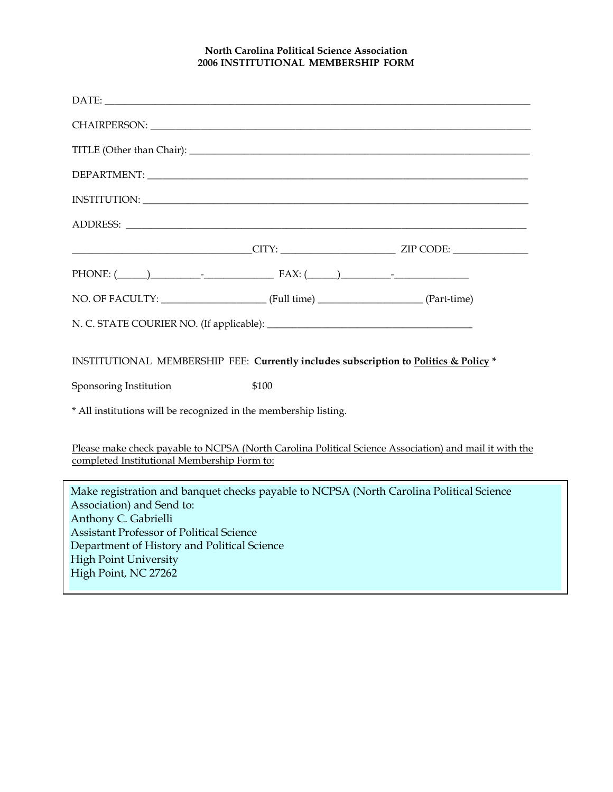#### North Carolina Political Science Association 2006 INSTITUTIONAL MEMBERSHIP FORM

| DEPARTMENT: The contract of the contract of the contract of the contract of the contract of the contract of the contract of the contract of the contract of the contract of the contract of the contract of the contract of th                                                                         |
|--------------------------------------------------------------------------------------------------------------------------------------------------------------------------------------------------------------------------------------------------------------------------------------------------------|
|                                                                                                                                                                                                                                                                                                        |
|                                                                                                                                                                                                                                                                                                        |
| $CITY:$ ZIP CODE:                                                                                                                                                                                                                                                                                      |
| PHONE: $(\_\_\_\_\_\_$                                                                                                                                                                                                                                                                                 |
|                                                                                                                                                                                                                                                                                                        |
|                                                                                                                                                                                                                                                                                                        |
| INSTITUTIONAL MEMBERSHIP FEE: Currently includes subscription to Politics & Policy *                                                                                                                                                                                                                   |
| \$100<br>Sponsoring Institution                                                                                                                                                                                                                                                                        |
| * All institutions will be recognized in the membership listing.                                                                                                                                                                                                                                       |
| Please make check payable to NCPSA (North Carolina Political Science Association) and mail it with the<br>completed Institutional Membership Form to:                                                                                                                                                  |
| Make registration and banquet checks payable to NCPSA (North Carolina Political Science<br>Association) and Send to:<br>Anthony C. Gabrielli<br><b>Assistant Professor of Political Science</b><br>Department of History and Political Science<br><b>High Point University</b><br>High Point, NC 27262 |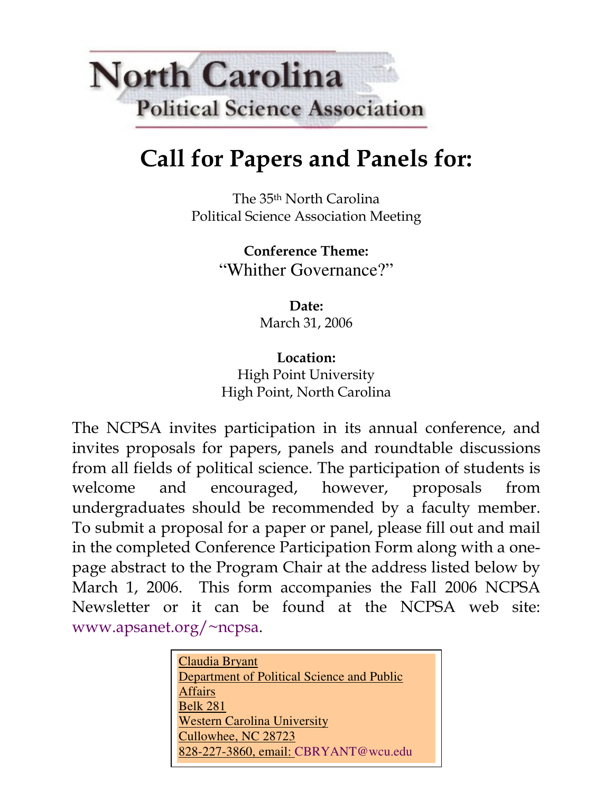# **North Carolina Political Science Association**

## Call for Papers and Panels for:

The 35th North Carolina Political Science Association Meeting

> Conference Theme: "Whither Governance?"

> > Date: March 31, 2006

Location: High Point University High Point, North Carolina

The NCPSA invites participation in its annual conference, and invites proposals for papers, panels and roundtable discussions from all fields of political science. The participation of students is welcome and encouraged, however, proposals from undergraduates should be recommended by a faculty member. To submit a proposal for a paper or panel, please fill out and mail in the completed Conference Participation Form along with a onepage abstract to the Program Chair at the address listed below by March 1, 2006. This form accompanies the Fall 2006 NCPSA Newsletter or it can be found at the NCPSA web site: www.apsanet.org/~ncpsa.

| Claudia Bryant                             |
|--------------------------------------------|
| Department of Political Science and Public |
| <b>Affairs</b>                             |
| <b>Belk 281</b>                            |
| <b>Western Carolina University</b>         |
| Cullowhee, NC 28723                        |
| 828-227-3860, email: CBRYANT@wcu.edu       |